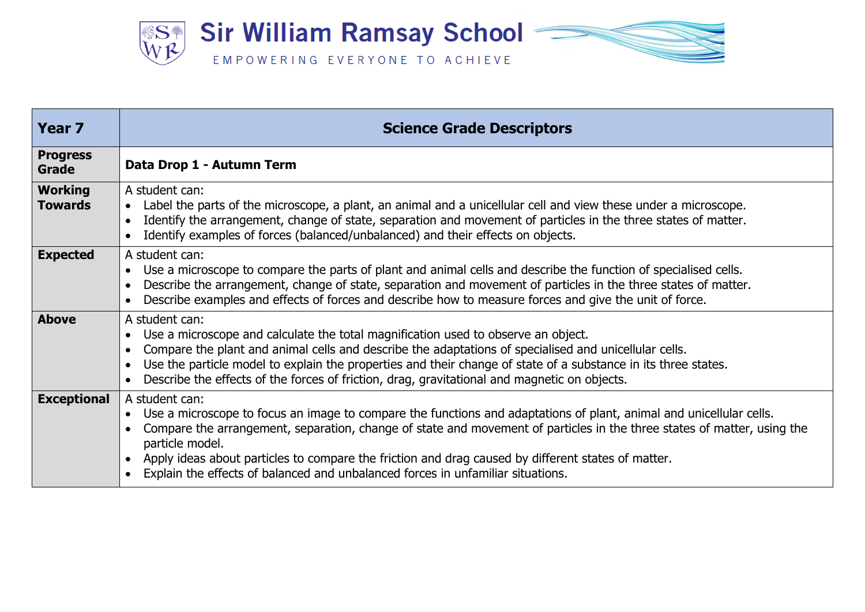

| <b>Year 7</b>                    | <b>Science Grade Descriptors</b>                                                                                                                                                                                                                                                                                                                                                                                                                                             |
|----------------------------------|------------------------------------------------------------------------------------------------------------------------------------------------------------------------------------------------------------------------------------------------------------------------------------------------------------------------------------------------------------------------------------------------------------------------------------------------------------------------------|
| <b>Progress</b><br><b>Grade</b>  | Data Drop 1 - Autumn Term                                                                                                                                                                                                                                                                                                                                                                                                                                                    |
| <b>Working</b><br><b>Towards</b> | A student can:<br>Label the parts of the microscope, a plant, an animal and a unicellular cell and view these under a microscope.<br>Identify the arrangement, change of state, separation and movement of particles in the three states of matter.<br>Identify examples of forces (balanced/unbalanced) and their effects on objects.                                                                                                                                       |
| <b>Expected</b>                  | A student can:<br>Use a microscope to compare the parts of plant and animal cells and describe the function of specialised cells.<br>Describe the arrangement, change of state, separation and movement of particles in the three states of matter.<br>Describe examples and effects of forces and describe how to measure forces and give the unit of force.                                                                                                                |
| <b>Above</b>                     | A student can:<br>Use a microscope and calculate the total magnification used to observe an object.<br>Compare the plant and animal cells and describe the adaptations of specialised and unicellular cells.<br>Use the particle model to explain the properties and their change of state of a substance in its three states.<br>Describe the effects of the forces of friction, drag, gravitational and magnetic on objects.                                               |
| <b>Exceptional</b>               | A student can:<br>Use a microscope to focus an image to compare the functions and adaptations of plant, animal and unicellular cells.<br>Compare the arrangement, separation, change of state and movement of particles in the three states of matter, using the<br>particle model.<br>Apply ideas about particles to compare the friction and drag caused by different states of matter.<br>Explain the effects of balanced and unbalanced forces in unfamiliar situations. |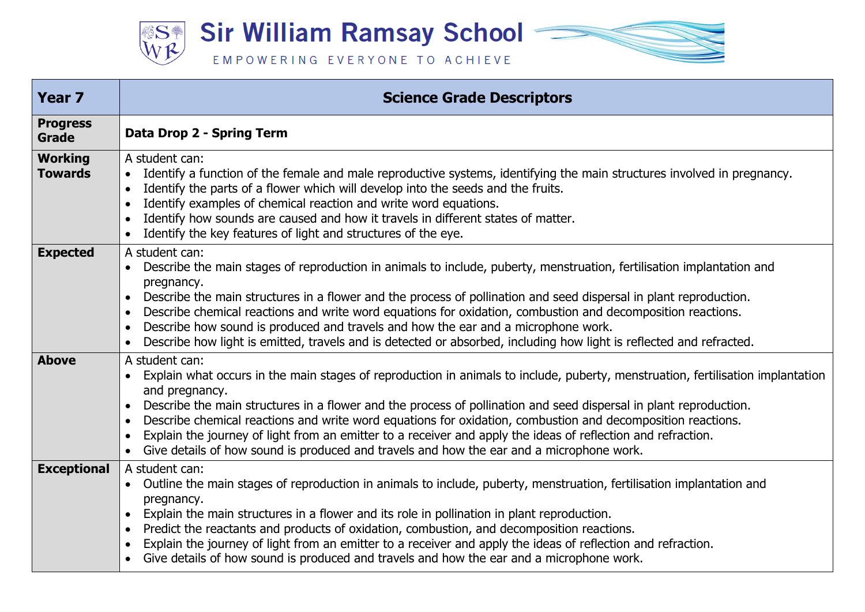

| Year <sub>7</sub>                | <b>Science Grade Descriptors</b>                                                                                                                                                                                                                                                                                                                                                                                                                                                                                                                                                                                                              |
|----------------------------------|-----------------------------------------------------------------------------------------------------------------------------------------------------------------------------------------------------------------------------------------------------------------------------------------------------------------------------------------------------------------------------------------------------------------------------------------------------------------------------------------------------------------------------------------------------------------------------------------------------------------------------------------------|
| <b>Progress</b><br><b>Grade</b>  | Data Drop 2 - Spring Term                                                                                                                                                                                                                                                                                                                                                                                                                                                                                                                                                                                                                     |
| <b>Working</b><br><b>Towards</b> | A student can:<br>Identify a function of the female and male reproductive systems, identifying the main structures involved in pregnancy.<br>Identify the parts of a flower which will develop into the seeds and the fruits.<br>Identify examples of chemical reaction and write word equations.<br>Identify how sounds are caused and how it travels in different states of matter.<br>Identify the key features of light and structures of the eye.                                                                                                                                                                                        |
| <b>Expected</b>                  | A student can:<br>Describe the main stages of reproduction in animals to include, puberty, menstruation, fertilisation implantation and<br>pregnancy.<br>Describe the main structures in a flower and the process of pollination and seed dispersal in plant reproduction.<br>Describe chemical reactions and write word equations for oxidation, combustion and decomposition reactions.<br>Describe how sound is produced and travels and how the ear and a microphone work.<br>Describe how light is emitted, travels and is detected or absorbed, including how light is reflected and refracted.<br>$\bullet$                            |
| <b>Above</b>                     | A student can:<br>Explain what occurs in the main stages of reproduction in animals to include, puberty, menstruation, fertilisation implantation<br>and pregnancy.<br>Describe the main structures in a flower and the process of pollination and seed dispersal in plant reproduction.<br>Describe chemical reactions and write word equations for oxidation, combustion and decomposition reactions.<br>$\bullet$<br>Explain the journey of light from an emitter to a receiver and apply the ideas of reflection and refraction.<br>Give details of how sound is produced and travels and how the ear and a microphone work.<br>$\bullet$ |
| <b>Exceptional</b>               | A student can:<br>Outline the main stages of reproduction in animals to include, puberty, menstruation, fertilisation implantation and<br>$\bullet$<br>pregnancy.<br>Explain the main structures in a flower and its role in pollination in plant reproduction.<br>Predict the reactants and products of oxidation, combustion, and decomposition reactions.<br>Explain the journey of light from an emitter to a receiver and apply the ideas of reflection and refraction.<br>Give details of how sound is produced and travels and how the ear and a microphone work.                                                                      |